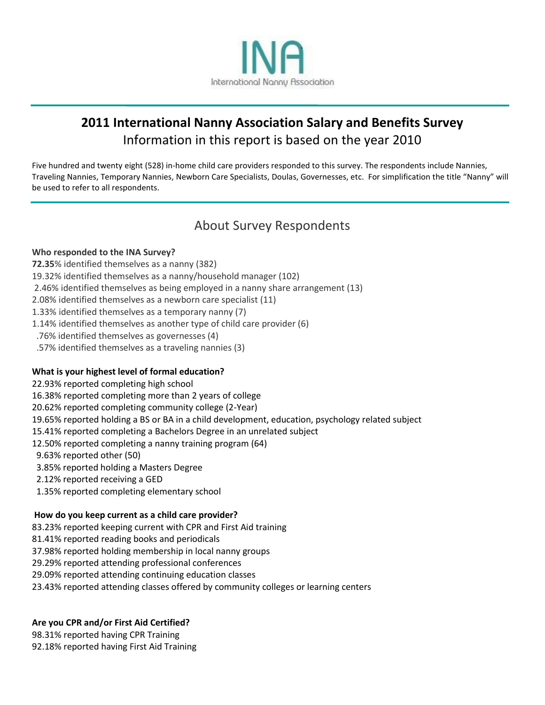

# **2011 International Nanny Association Salary and Benefits Survey** Information in this report is based on the year 2010

Five hundred and twenty eight (528) in-home child care providers responded to this survey. The respondents include Nannies, Traveling Nannies, Temporary Nannies, Newborn Care Specialists, Doulas, Governesses, etc. For simplification the title "Nanny" will be used to refer to all respondents.

# About Survey Respondents

## **Who responded to the INA Survey?**

- **72.35**% identified themselves as a nanny (382)
- 19.32% identified themselves as a nanny/household manager (102)
- 2.46% identified themselves as being employed in a nanny share arrangement (13)
- 2.08% identified themselves as a newborn care specialist (11)
- 1.33% identified themselves as a temporary nanny (7)
- 1.14% identified themselves as another type of child care provider (6)
- .76% identified themselves as governesses (4)
- .57% identified themselves as a traveling nannies (3)

## **What is your highest level of formal education?**

- 22.93% reported completing high school
- 16.38% reported completing more than 2 years of college
- 20.62% reported completing community college (2-Year)
- 19.65% reported holding a BS or BA in a child development, education, psychology related subject
- 15.41% reported completing a Bachelors Degree in an unrelated subject
- 12.50% reported completing a nanny training program (64)
- 9.63% reported other (50)
- 3.85% reported holding a Masters Degree
- 2.12% reported receiving a GED
- 1.35% reported completing elementary school

#### **How do you keep current as a child care provider?**

- 83.23% reported keeping current with CPR and First Aid training
- 81.41% reported reading books and periodicals
- 37.98% reported holding membership in local nanny groups
- 29.29% reported attending professional conferences
- 29.09% reported attending continuing education classes
- 23.43% reported attending classes offered by community colleges or learning centers

## **Are you CPR and/or First Aid Certified?**

98.31% reported having CPR Training 92.18% reported having First Aid Training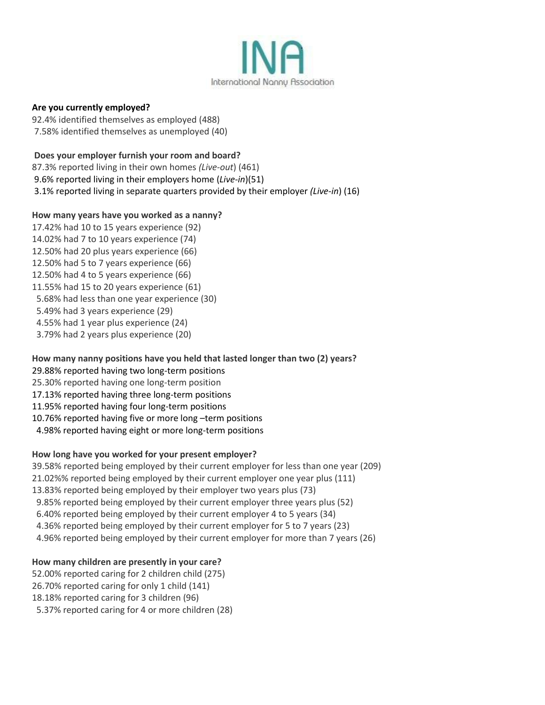

### **Are you currently employed?**

92.4% identified themselves as employed (488) 7.58% identified themselves as unemployed (40)

# **Does your employer furnish your room and board?**

87.3% reported living in their own homes *(Live-out*) (461) 9.6% reported living in their employers home (*Live-in*)(51) 3.1% reported living in separate quarters provided by their employer *(Live-in*) (16)

# **How many years have you worked as a nanny?**

17.42% had 10 to 15 years experience (92) 14.02% had 7 to 10 years experience (74) 12.50% had 20 plus years experience (66) 12.50% had 5 to 7 years experience (66) 12.50% had 4 to 5 years experience (66) 11.55% had 15 to 20 years experience (61) 5.68% had less than one year experience (30) 5.49% had 3 years experience (29) 4.55% had 1 year plus experience (24) 3.79% had 2 years plus experience (20)

## **How many nanny positions have you held that lasted longer than two (2) years?**

- 29.88% reported having two long-term positions
- 25.30% reported having one long-term position
- 17.13% reported having three long-term positions
- 11.95% reported having four long-term positions
- 10.76% reported having five or more long –term positions
- 4.98% reported having eight or more long-term positions

# **How long have you worked for your present employer?**

39.58% reported being employed by their current employer for less than one year (209) 21.02%% reported being employed by their current employer one year plus (111) 13.83% reported being employed by their employer two years plus (73) 9.85% reported being employed by their current employer three years plus (52) 6.40% reported being employed by their current employer 4 to 5 years (34) 4.36% reported being employed by their current employer for 5 to 7 years (23) 4.96% reported being employed by their current employer for more than 7 years (26)

## **How many children are presently in your care?**

52.00% reported caring for 2 children child (275) 26.70% reported caring for only 1 child (141) 18.18% reported caring for 3 children (96) 5.37% reported caring for 4 or more children (28)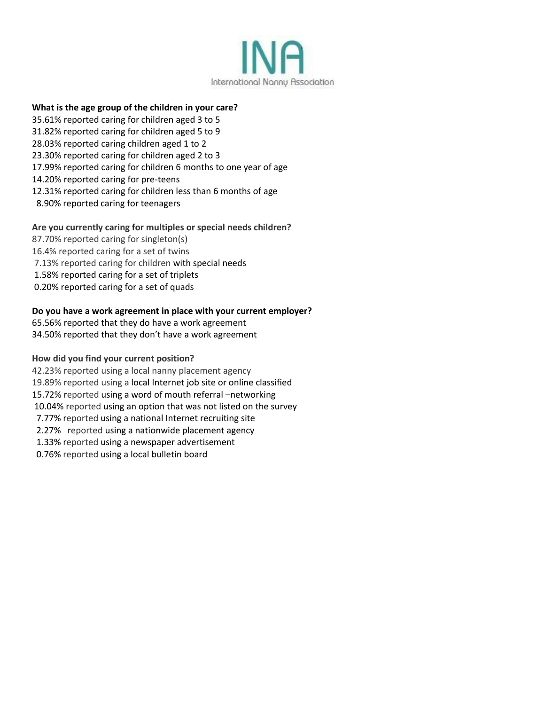

## **What is the age group of the children in your care?**

- 35.61% reported caring for children aged 3 to 5
- 31.82% reported caring for children aged 5 to 9
- 28.03% reported caring children aged 1 to 2
- 23.30% reported caring for children aged 2 to 3
- 17.99% reported caring for children 6 months to one year of age
- 14.20% reported caring for pre-teens
- 12.31% reported caring for children less than 6 months of age
- 8.90% reported caring for teenagers

#### **Are you currently caring for multiples or special needs children?**

- 87.70% reported caring for singleton(s)
- 16.4% reported caring for a set of twins
- 7.13% reported caring for children with special needs
- 1.58% reported caring for a set of triplets
- 0.20% reported caring for a set of quads

#### **Do you have a work agreement in place with your current employer?**

65.56% reported that they do have a work agreement

34.50% reported that they don't have a work agreement

#### **How did you find your current position?**

42.23% reported using a local nanny placement agency 19.89% reported using a local Internet job site or online classified 15.72% reported using a word of mouth referral –networking 10.04% reported using an option that was not listed on the survey 7.77% reported using a national Internet recruiting site 2.27% reported using a nationwide placement agency 1.33% reported using a newspaper advertisement 0.76% reported using a local bulletin board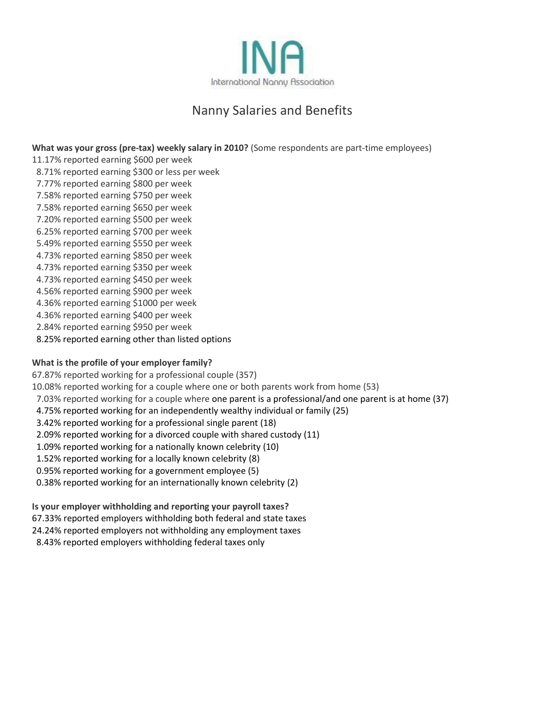

# Nanny Salaries and Benefits

**What was your gross (pre-tax) weekly salary in 2010?** (Some respondents are part-time employees)

11.17% reported earning \$600 per week 8.71% reported earning \$300 or less per week 7.77% reported earning \$800 per week 7.58% reported earning \$750 per week 7.58% reported earning \$650 per week 7.20% reported earning \$500 per week 6.25% reported earning \$700 per week 5.49% reported earning \$550 per week 4.73% reported earning \$850 per week 4.73% reported earning \$350 per week 4.73% reported earning \$450 per week 4.56% reported earning \$900 per week 4.36% reported earning \$1000 per week 4.36% reported earning \$400 per week 2.84% reported earning \$950 per week

8.25% reported earning other than listed options

## **What is the profile of your employer family?**

67.87% reported working for a professional couple (357) 10.08% reported working for a couple where one or both parents work from home (53) 7.03% reported working for a couple where one parent is a professional/and one parent is at home (37) 4.75% reported working for an independently wealthy individual or family (25) 3.42% reported working for a professional single parent (18) 2.09% reported working for a divorced couple with shared custody (11) 1.09% reported working for a nationally known celebrity (10) 1.52% reported working for a locally known celebrity (8) 0.95% reported working for a government employee (5) 0.38% reported working for an internationally known celebrity (2)

#### **Is your employer withholding and reporting your payroll taxes?**

67.33% reported employers withholding both federal and state taxes

- 24.24% reported employers not withholding any employment taxes
- 8.43% reported employers withholding federal taxes only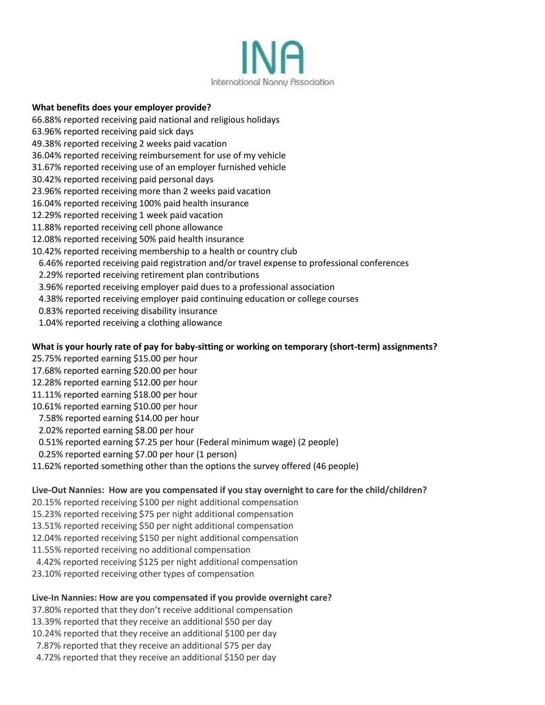

#### **What benefits does your employer provide?**

- 66.88% reported receiving paid national and religious holidays
- 63.96% reported receiving paid sick days
- 49.38% reported receiving 2 weeks paid vacation
- 36.04% reported receiving reimbursement for use of my vehicle
- 31.67% reported receiving use of an employer furnished vehicle
- 30.42% reported receiving paid personal days
- 23.96% reported receiving more than 2 weeks paid vacation
- 16.04% reported receiving 100% paid health insurance
- 12.29% reported receiving 1 week paid vacation
- 11.88% reported receiving cell phone allowance
- 12.08% reported receiving 50% paid health insurance
- 10.42% reported receiving membership to a health or country club
- 6.46% reported receiving paid registration and/or travel expense to professional conferences
- 2.29% reported receiving retirement plan contributions
- 3.96% reported receiving employer paid dues to a professional association
- 4.38% reported receiving employer paid continuing education or college courses
- 0.83% reported receiving disability insurance
- 1.04% reported receiving a clothing allowance

#### **What is your hourly rate of pay for baby-sitting or working on temporary (short-term) assignments?**

- 25.75% reported earning \$15.00 per hour
- 17.68% reported earning \$20.00 per hour
- 12.28% reported earning \$12.00 per hour
- 11.11% reported earning \$18.00 per hour
- 10.61% reported earning \$10.00 per hour
- 7.58% reported earning \$14.00 per hour
- 2.02% reported earning \$8.00 per hour
- 0.51% reported earning \$7.25 per hour (Federal minimum wage) (2 people)
- 0.25% reported earning \$7.00 per hour (1 person)
- 11.62% reported something other than the options the survey offered (46 people)

#### **Live-Out Nannies: How are you compensated if you stay overnight to care for the child/children?**

- 20.15% reported receiving \$100 per night additional compensation
- 15.23% reported receiving \$75 per night additional compensation
- 13.51% reported receiving \$50 per night additional compensation
- 12.04% reported receiving \$150 per night additional compensation
- 11.55% reported receiving no additional compensation
- 4.42% reported receiving \$125 per night additional compensation
- 23.10% reported receiving other types of compensation

#### **Live-In Nannies: How are you compensated if you provide overnight care?**

- 37.80% reported that they don't receive additional compensation
- 13.39% reported that they receive an additional \$50 per day
- 10.24% reported that they receive an additional \$100 per day
- 7.87% reported that they receive an additional \$75 per day
- 4.72% reported that they receive an additional \$150 per day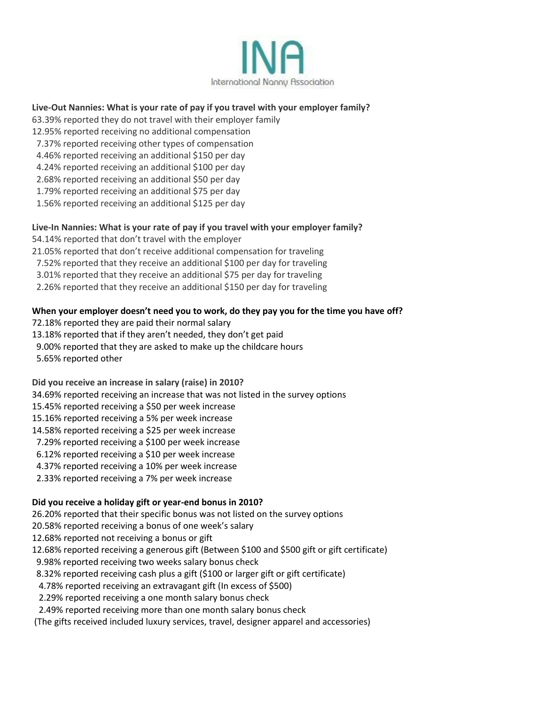

## **Live-Out Nannies: What is your rate of pay if you travel with your employer family?**

- 63.39% reported they do not travel with their employer family
- 12.95% reported receiving no additional compensation
- 7.37% reported receiving other types of compensation
- 4.46% reported receiving an additional \$150 per day
- 4.24% reported receiving an additional \$100 per day
- 2.68% reported receiving an additional \$50 per day
- 1.79% reported receiving an additional \$75 per day
- 1.56% reported receiving an additional \$125 per day

#### **Live-In Nannies: What is your rate of pay if you travel with your employer family?**

- 54.14% reported that don't travel with the employer
- 21.05% reported that don't receive additional compensation for traveling
- 7.52% reported that they receive an additional \$100 per day for traveling
- 3.01% reported that they receive an additional \$75 per day for traveling
- 2.26% reported that they receive an additional \$150 per day for traveling

#### **When your employer doesn't need you to work, do they pay you for the time you have off?**

- 72.18% reported they are paid their normal salary
- 13.18% reported that if they aren't needed, they don't get paid
- 9.00% reported that they are asked to make up the childcare hours
- 5.65% reported other

**Did you receive an increase in salary (raise) in 2010?**

- 34.69% reported receiving an increase that was not listed in the survey options
- 15.45% reported receiving a \$50 per week increase
- 15.16% reported receiving a 5% per week increase
- 14.58% reported receiving a \$25 per week increase
- 7.29% reported receiving a \$100 per week increase
- 6.12% reported receiving a \$10 per week increase
- 4.37% reported receiving a 10% per week increase
- 2.33% reported receiving a 7% per week increase

## **Did you receive a holiday gift or year-end bonus in 2010?**

26.20% reported that their specific bonus was not listed on the survey options

- 20.58% reported receiving a bonus of one week's salary
- 12.68% reported not receiving a bonus or gift
- 12.68% reported receiving a generous gift (Between \$100 and \$500 gift or gift certificate)
- 9.98% reported receiving two weeks salary bonus check
- 8.32% reported receiving cash plus a gift (\$100 or larger gift or gift certificate)
- 4.78% reported receiving an extravagant gift (In excess of \$500)
- 2.29% reported receiving a one month salary bonus check
- 2.49% reported receiving more than one month salary bonus check
- (The gifts received included luxury services, travel, designer apparel and accessories)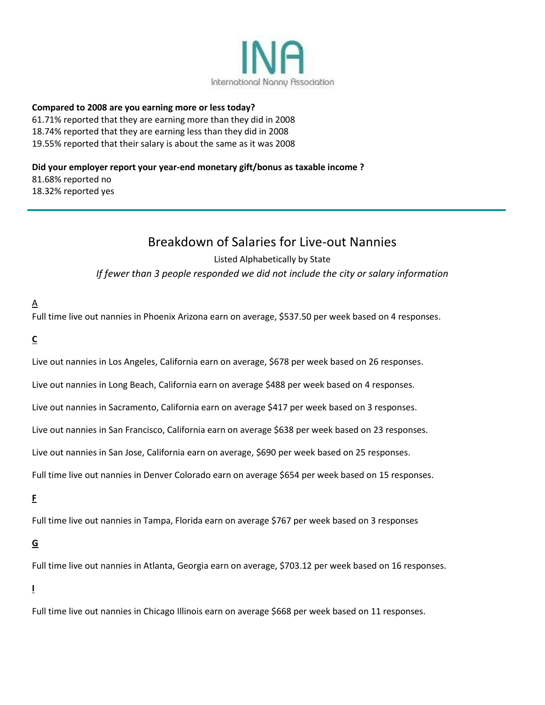

#### **Compared to 2008 are you earning more or less today?**

61.71% reported that they are earning more than they did in 2008 18.74% reported that they are earning less than they did in 2008 19.55% reported that their salary is about the same as it was 2008

### **Did your employer report your year-end monetary gift/bonus as taxable income ?**

81.68% reported no 18.32% reported yes

# Breakdown of Salaries for Live-out Nannies

# Listed Alphabetically by State *If fewer than 3 people responded we did not include the city or salary information*

## $\Delta$

Full time live out nannies in Phoenix Arizona earn on average, \$537.50 per week based on 4 responses.

# **C**

Live out nannies in Los Angeles, California earn on average, \$678 per week based on 26 responses.

Live out nannies in Long Beach, California earn on average \$488 per week based on 4 responses.

Live out nannies in Sacramento, California earn on average \$417 per week based on 3 responses.

Live out nannies in San Francisco, California earn on average \$638 per week based on 23 responses.

Live out nannies in San Jose, California earn on average, \$690 per week based on 25 responses.

Full time live out nannies in Denver Colorado earn on average \$654 per week based on 15 responses.

# **F**

Full time live out nannies in Tampa, Florida earn on average \$767 per week based on 3 responses

# **G**

Full time live out nannies in Atlanta, Georgia earn on average, \$703.12 per week based on 16 responses.

## **I**

Full time live out nannies in Chicago Illinois earn on average \$668 per week based on 11 responses.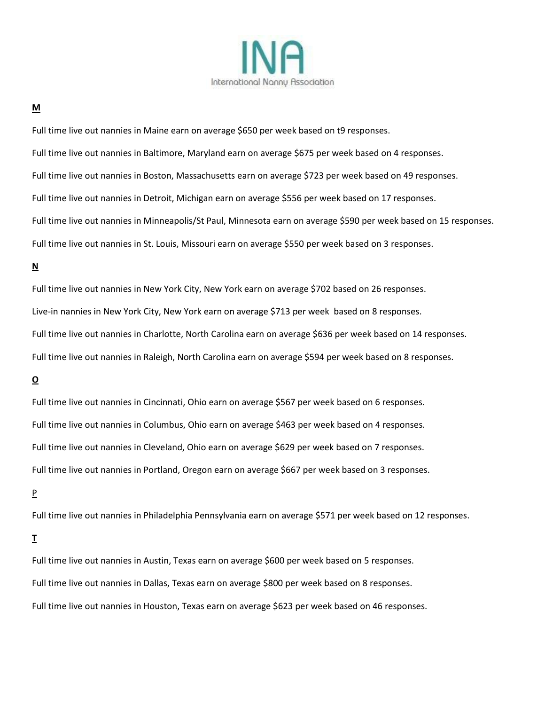

#### **M**

Full time live out nannies in Maine earn on average \$650 per week based on t9 responses. Full time live out nannies in Baltimore, Maryland earn on average \$675 per week based on 4 responses. Full time live out nannies in Boston, Massachusetts earn on average \$723 per week based on 49 responses. Full time live out nannies in Detroit, Michigan earn on average \$556 per week based on 17 responses. Full time live out nannies in Minneapolis/St Paul, Minnesota earn on average \$590 per week based on 15 responses. Full time live out nannies in St. Louis, Missouri earn on average \$550 per week based on 3 responses.

# **N**

Full time live out nannies in New York City, New York earn on average \$702 based on 26 responses. Live-in nannies in New York City, New York earn on average \$713 per week based on 8 responses. Full time live out nannies in Charlotte, North Carolina earn on average \$636 per week based on 14 responses. Full time live out nannies in Raleigh, North Carolina earn on average \$594 per week based on 8 responses.

# **O**

Full time live out nannies in Cincinnati, Ohio earn on average \$567 per week based on 6 responses. Full time live out nannies in Columbus, Ohio earn on average \$463 per week based on 4 responses. Full time live out nannies in Cleveland, Ohio earn on average \$629 per week based on 7 responses. Full time live out nannies in Portland, Oregon earn on average \$667 per week based on 3 responses.

#### P

Full time live out nannies in Philadelphia Pennsylvania earn on average \$571 per week based on 12 responses.

## **T**

Full time live out nannies in Austin, Texas earn on average \$600 per week based on 5 responses. Full time live out nannies in Dallas, Texas earn on average \$800 per week based on 8 responses. Full time live out nannies in Houston, Texas earn on average \$623 per week based on 46 responses.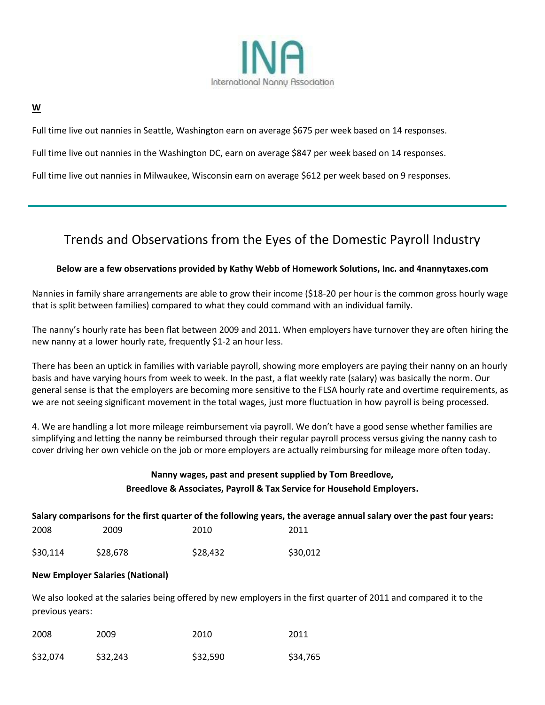

#### **W**

Full time live out nannies in Seattle, Washington earn on average \$675 per week based on 14 responses.

Full time live out nannies in the Washington DC, earn on average \$847 per week based on 14 responses.

Full time live out nannies in Milwaukee, Wisconsin earn on average \$612 per week based on 9 responses.

# Trends and Observations from the Eyes of the Domestic Payroll Industry

#### **Below are a few observations provided by Kathy Webb of Homework Solutions, Inc. and 4nannytaxes.com**

Nannies in family share arrangements are able to grow their income (\$18-20 per hour is the common gross hourly wage that is split between families) compared to what they could command with an individual family.

The nanny's hourly rate has been flat between 2009 and 2011. When employers have turnover they are often hiring the new nanny at a lower hourly rate, frequently \$1-2 an hour less.

There has been an uptick in families with variable payroll, showing more employers are paying their nanny on an hourly basis and have varying hours from week to week. In the past, a flat weekly rate (salary) was basically the norm. Our general sense is that the employers are becoming more sensitive to the FLSA hourly rate and overtime requirements, as we are not seeing significant movement in the total wages, just more fluctuation in how payroll is being processed.

4. We are handling a lot more mileage reimbursement via payroll. We don't have a good sense whether families are simplifying and letting the nanny be reimbursed through their regular payroll process versus giving the nanny cash to cover driving her own vehicle on the job or more employers are actually reimbursing for mileage more often today.

# **Nanny wages, past and present supplied by Tom Breedlove, Breedlove & Associates, Payroll & Tax Service for Household Employers.**

|          |          |          | Salary comparisons for the first quarter of the following years, the average annual salary over the past four years: |  |
|----------|----------|----------|----------------------------------------------------------------------------------------------------------------------|--|
| 2008     | 2009     | 2010     | 2011                                                                                                                 |  |
| \$30,114 | \$28.678 | \$28,432 | \$30,012                                                                                                             |  |

#### **New Employer Salaries (National)**

We also looked at the salaries being offered by new employers in the first quarter of 2011 and compared it to the previous years:

| 2008     | 2009     | 2010     | 2011     |
|----------|----------|----------|----------|
| \$32,074 | \$32,243 | \$32,590 | \$34,765 |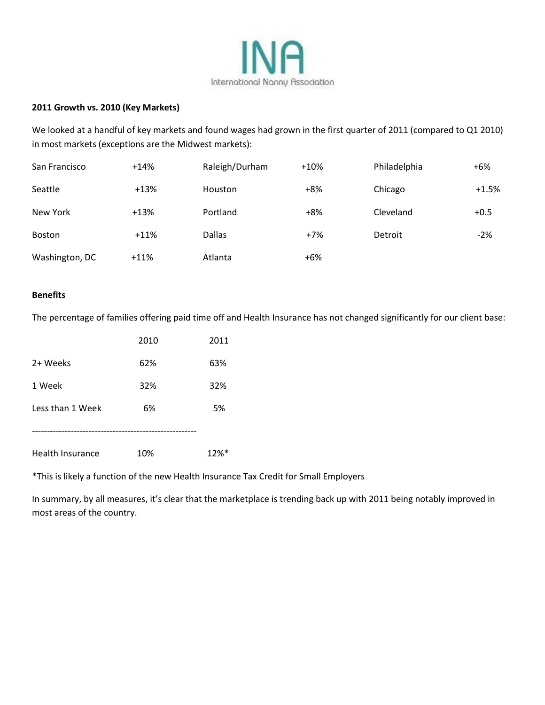

#### **2011 Growth vs. 2010 (Key Markets)**

We looked at a handful of key markets and found wages had grown in the first quarter of 2011 (compared to Q1 2010) in most markets (exceptions are the Midwest markets):

| San Francisco  | $+14%$ | Raleigh/Durham | $+10%$ | Philadelphia | $+6%$   |
|----------------|--------|----------------|--------|--------------|---------|
| Seattle        | $+13%$ | Houston        | $+8%$  | Chicago      | $+1.5%$ |
| New York       | $+13%$ | Portland       | $+8%$  | Cleveland    | $+0.5$  |
| <b>Boston</b>  | $+11%$ | <b>Dallas</b>  | $+7%$  | Detroit      | $-2%$   |
| Washington, DC | $+11%$ | Atlanta        | $+6%$  |              |         |

#### **Benefits**

The percentage of families offering paid time off and Health Insurance has not changed significantly for our client base:

|                  | 2010 | 2011 |
|------------------|------|------|
| 2+ Weeks         | 62%  | 63%  |
| 1 Week           | 32%  | 32%  |
| Less than 1 Week | 6%   | 5%   |
|                  |      |      |
| Health Insurance | 10%  | 12%* |

\*This is likely a function of the new Health Insurance Tax Credit for Small Employers

In summary, by all measures, it's clear that the marketplace is trending back up with 2011 being notably improved in most areas of the country.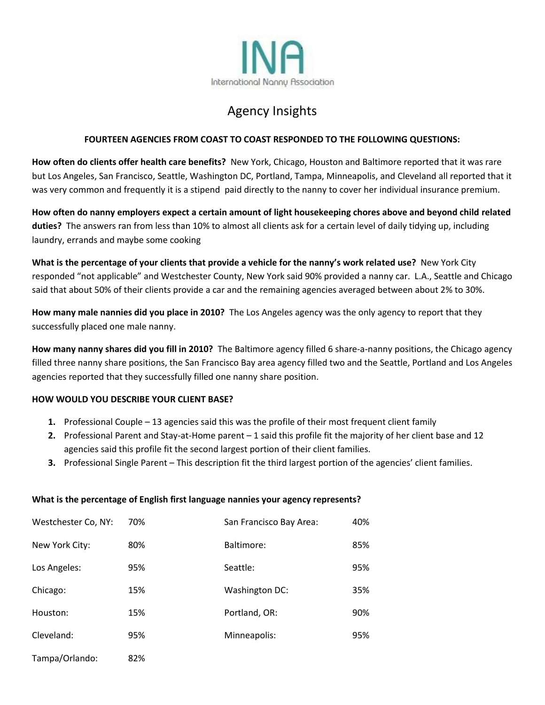

# Agency Insights

### **FOURTEEN AGENCIES FROM COAST TO COAST RESPONDED TO THE FOLLOWING QUESTIONS:**

**How often do clients offer health care benefits?** New York, Chicago, Houston and Baltimore reported that it was rare but Los Angeles, San Francisco, Seattle, Washington DC, Portland, Tampa, Minneapolis, and Cleveland all reported that it was very common and frequently it is a stipend paid directly to the nanny to cover her individual insurance premium.

**How often do nanny employers expect a certain amount of light housekeeping chores above and beyond child related duties?** The answers ran from less than 10% to almost all clients ask for a certain level of daily tidying up, including laundry, errands and maybe some cooking

**What is the percentage of your clients that provide a vehicle for the nanny's work related use?** New York City responded "not applicable" and Westchester County, New York said 90% provided a nanny car. L.A., Seattle and Chicago said that about 50% of their clients provide a car and the remaining agencies averaged between about 2% to 30%.

**How many male nannies did you place in 2010?** The Los Angeles agency was the only agency to report that they successfully placed one male nanny.

**How many nanny shares did you fill in 2010?** The Baltimore agency filled 6 share-a-nanny positions, the Chicago agency filled three nanny share positions, the San Francisco Bay area agency filled two and the Seattle, Portland and Los Angeles agencies reported that they successfully filled one nanny share position.

#### **HOW WOULD YOU DESCRIBE YOUR CLIENT BASE?**

Tampa/Orlando: 82%

- **1.** Professional Couple 13 agencies said this was the profile of their most frequent client family
- **2.** Professional Parent and Stay-at-Home parent 1 said this profile fit the majority of her client base and 12 agencies said this profile fit the second largest portion of their client families.
- **3.** Professional Single Parent This description fit the third largest portion of the agencies' client families.

| Westchester Co, NY: | 70% | San Francisco Bay Area: | 40% |
|---------------------|-----|-------------------------|-----|
| New York City:      | 80% | Baltimore:              | 85% |
| Los Angeles:        | 95% | Seattle:                | 95% |
| Chicago:            | 15% | Washington DC:          | 35% |
| Houston:            | 15% | Portland, OR:           | 90% |
| Cleveland:          | 95% | Minneapolis:            | 95% |

#### **What is the percentage of English first language nannies your agency represents?**